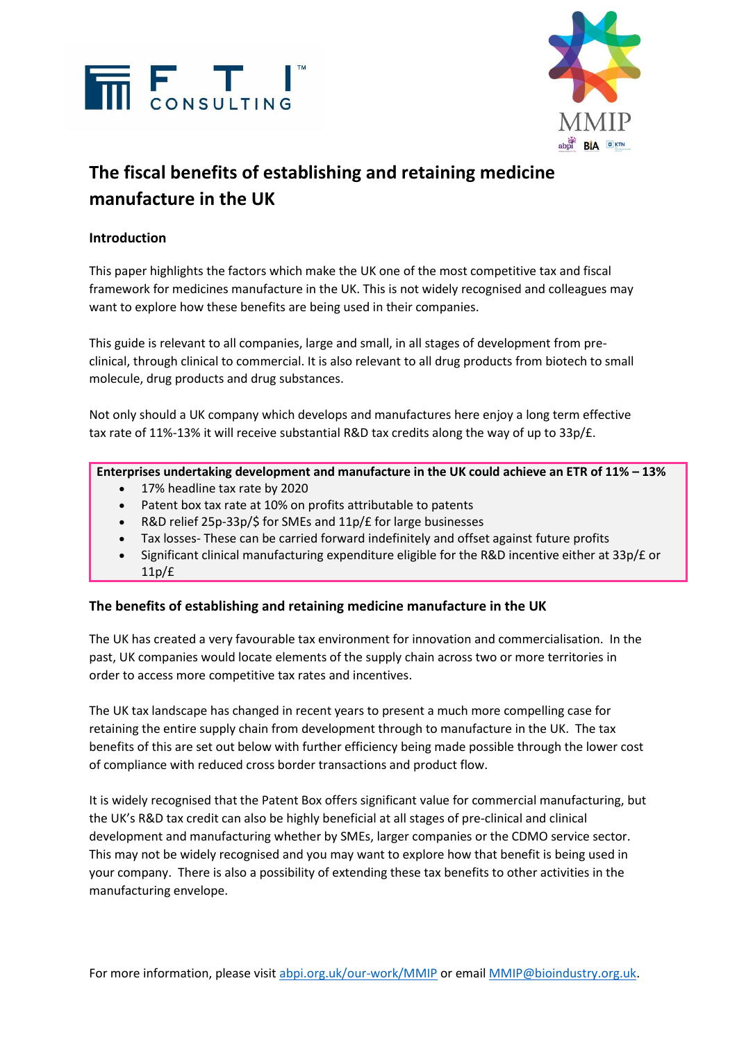



# **The fiscal benefits of establishing and retaining medicine manufacture in the UK**

### **Introduction**

This paper highlights the factors which make the UK one of the most competitive tax and fiscal framework for medicines manufacture in the UK. This is not widely recognised and colleagues may want to explore how these benefits are being used in their companies.

This guide is relevant to all companies, large and small, in all stages of development from preclinical, through clinical to commercial. It is also relevant to all drug products from biotech to small molecule, drug products and drug substances.

Not only should a UK company which develops and manufactures here enjoy a long term effective tax rate of 11%-13% it will receive substantial R&D tax credits along the way of up to 33p/£.

**Enterprises undertaking development and manufacture in the UK could achieve an ETR of 11% – 13%**

- 17% headline tax rate by 2020
- Patent box tax rate at 10% on profits attributable to patents
- R&D relief 25p-33p/\$ for SMEs and 11p/£ for large businesses
- Tax losses- These can be carried forward indefinitely and offset against future profits
- Significant clinical manufacturing expenditure eligible for the R&D incentive either at 33p/£ or 11p/£

#### **The benefits of establishing and retaining medicine manufacture in the UK**

The UK has created a very favourable tax environment for innovation and commercialisation. In the past, UK companies would locate elements of the supply chain across two or more territories in order to access more competitive tax rates and incentives.

The UK tax landscape has changed in recent years to present a much more compelling case for retaining the entire supply chain from development through to manufacture in the UK. The tax benefits of this are set out below with further efficiency being made possible through the lower cost of compliance with reduced cross border transactions and product flow.

It is widely recognised that the Patent Box offers significant value for commercial manufacturing, but the UK's R&D tax credit can also be highly beneficial at all stages of pre-clinical and clinical development and manufacturing whether by SMEs, larger companies or the CDMO service sector. This may not be widely recognised and you may want to explore how that benefit is being used in your company. There is also a possibility of extending these tax benefits to other activities in the manufacturing envelope.